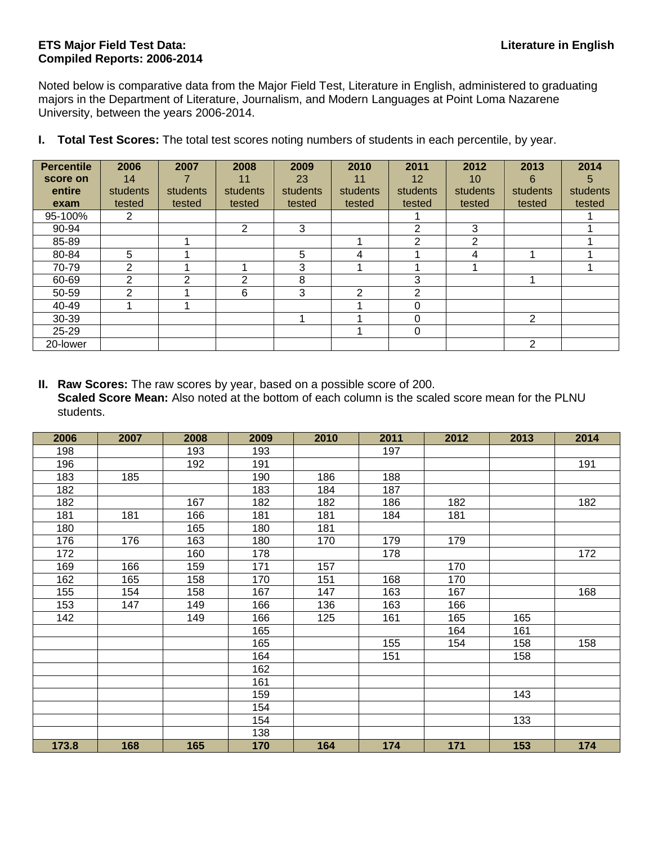## **ETS Major Field Test Data: Literature in English Compiled Reports: 2006-2014**

Noted below is comparative data from the Major Field Test, Literature in English, administered to graduating majors in the Department of Literature, Journalism, and Modern Languages at Point Loma Nazarene University, between the years 2006-2014.

| <b>Percentile</b> | 2006          | 2007     | 2008           | 2009     | 2010     | 2011     | 2012     | 2013           | 2014     |
|-------------------|---------------|----------|----------------|----------|----------|----------|----------|----------------|----------|
| score on          | 14            |          | 11             | 23       | 11       | 12       | 10       | 6              | 5        |
| entire            | students      | students | students       | students | students | students | students | students       | students |
| exam              | tested        | tested   | tested         | tested   | tested   | tested   | tested   | tested         | tested   |
| 95-100%           | 2             |          |                |          |          |          |          |                |          |
| 90-94             |               |          | $\overline{2}$ | 3        |          | 2        | 3        |                |          |
| 85-89             |               |          |                |          |          | 2        | 2        |                |          |
| 80-84             | 5             |          |                | 5        | 4        |          | 4        |                |          |
| 70-79             | 2             |          |                | 3        |          |          |          |                |          |
| 60-69             | 2             | ⌒        | 2              | 8        |          | 3        |          |                |          |
| 50-59             | $\mathcal{P}$ |          | 6              | 3        | 2        | 2        |          |                |          |
| 40-49             |               |          |                |          |          | 0        |          |                |          |
| 30-39             |               |          |                |          |          | $\Omega$ |          | 2              |          |
| $25 - 29$         |               |          |                |          |          | $\Omega$ |          |                |          |
| 20-lower          |               |          |                |          |          |          |          | $\overline{2}$ |          |

**I. Total Test Scores:** The total test scores noting numbers of students in each percentile, by year.

**II. Raw Scores:** The raw scores by year, based on a possible score of 200. **Scaled Score Mean:** Also noted at the bottom of each column is the scaled score mean for the PLNU students.

| 2006  | 2007 | 2008 | 2009 | 2010 | 2011 | 2012 | 2013 | 2014 |
|-------|------|------|------|------|------|------|------|------|
| 198   |      | 193  | 193  |      | 197  |      |      |      |
| 196   |      | 192  | 191  |      |      |      |      | 191  |
| 183   | 185  |      | 190  | 186  | 188  |      |      |      |
| 182   |      |      | 183  | 184  | 187  |      |      |      |
| 182   |      | 167  | 182  | 182  | 186  | 182  |      | 182  |
| 181   | 181  | 166  | 181  | 181  | 184  | 181  |      |      |
| 180   |      | 165  | 180  | 181  |      |      |      |      |
| 176   | 176  | 163  | 180  | 170  | 179  | 179  |      |      |
| 172   |      | 160  | 178  |      | 178  |      |      | 172  |
| 169   | 166  | 159  | 171  | 157  |      | 170  |      |      |
| 162   | 165  | 158  | 170  | 151  | 168  | 170  |      |      |
| 155   | 154  | 158  | 167  | 147  | 163  | 167  |      | 168  |
| 153   | 147  | 149  | 166  | 136  | 163  | 166  |      |      |
| 142   |      | 149  | 166  | 125  | 161  | 165  | 165  |      |
|       |      |      | 165  |      |      | 164  | 161  |      |
|       |      |      | 165  |      | 155  | 154  | 158  | 158  |
|       |      |      | 164  |      | 151  |      | 158  |      |
|       |      |      | 162  |      |      |      |      |      |
|       |      |      | 161  |      |      |      |      |      |
|       |      |      | 159  |      |      |      | 143  |      |
|       |      |      | 154  |      |      |      |      |      |
|       |      |      | 154  |      |      |      | 133  |      |
|       |      |      | 138  |      |      |      |      |      |
| 173.8 | 168  | 165  | 170  | 164  | 174  | 171  | 153  | 174  |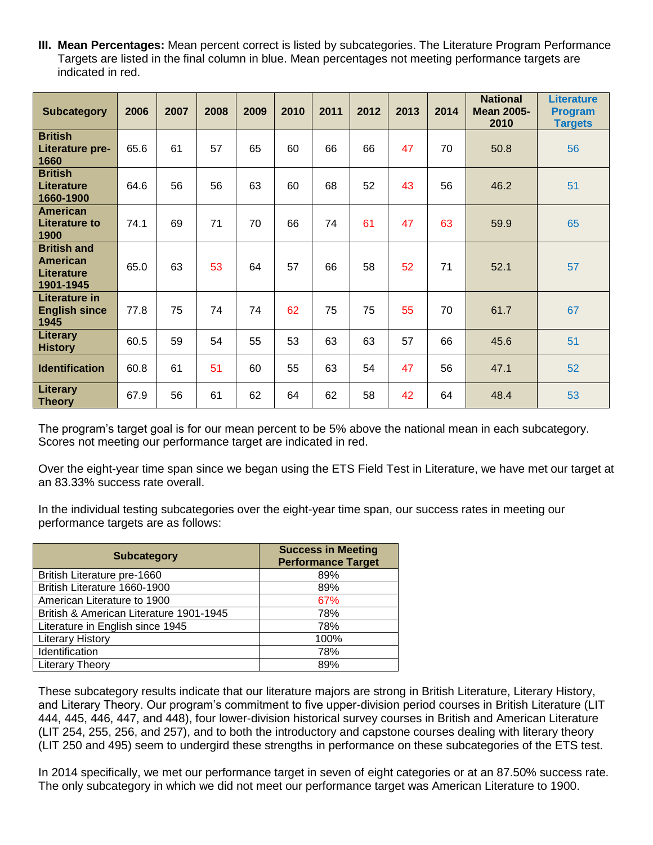**III. Mean Percentages:** Mean percent correct is listed by subcategories. The Literature Program Performance Targets are listed in the final column in blue. Mean percentages not meeting performance targets are indicated in red.

| <b>Subcategory</b>                                                      | 2006 | 2007 | 2008 | 2009 | 2010 | 2011 | 2012 | 2013 | 2014 | <b>National</b><br><b>Mean 2005-</b><br>2010 | <b>Literature</b><br><b>Program</b><br><b>Targets</b> |
|-------------------------------------------------------------------------|------|------|------|------|------|------|------|------|------|----------------------------------------------|-------------------------------------------------------|
| <b>British</b><br>Literature pre-<br>1660                               | 65.6 | 61   | 57   | 65   | 60   | 66   | 66   | 47   | 70   | 50.8                                         | 56                                                    |
| <b>British</b><br><b>Literature</b><br>1660-1900                        | 64.6 | 56   | 56   | 63   | 60   | 68   | 52   | 43   | 56   | 46.2                                         | 51                                                    |
| <b>American</b><br><b>Literature to</b><br>1900                         | 74.1 | 69   | 71   | 70   | 66   | 74   | 61   | 47   | 63   | 59.9                                         | 65                                                    |
| <b>British and</b><br><b>American</b><br><b>Literature</b><br>1901-1945 | 65.0 | 63   | 53   | 64   | 57   | 66   | 58   | 52   | 71   | 52.1                                         | 57                                                    |
| Literature in<br><b>English since</b><br>1945                           | 77.8 | 75   | 74   | 74   | 62   | 75   | 75   | 55   | 70   | 61.7                                         | 67                                                    |
| Literary<br><b>History</b>                                              | 60.5 | 59   | 54   | 55   | 53   | 63   | 63   | 57   | 66   | 45.6                                         | 51                                                    |
| <b>Identification</b>                                                   | 60.8 | 61   | 51   | 60   | 55   | 63   | 54   | 47   | 56   | 47.1                                         | 52                                                    |
| <b>Literary</b><br><b>Theory</b>                                        | 67.9 | 56   | 61   | 62   | 64   | 62   | 58   | 42   | 64   | 48.4                                         | 53                                                    |

The program's target goal is for our mean percent to be 5% above the national mean in each subcategory. Scores not meeting our performance target are indicated in red.

Over the eight-year time span since we began using the ETS Field Test in Literature, we have met our target at an 83.33% success rate overall.

In the individual testing subcategories over the eight-year time span, our success rates in meeting our performance targets are as follows:

| <b>Subcategory</b>                      | <b>Success in Meeting</b><br><b>Performance Target</b> |
|-----------------------------------------|--------------------------------------------------------|
| British Literature pre-1660             | 89%                                                    |
| British Literature 1660-1900            | 89%                                                    |
| American Literature to 1900             | 67%                                                    |
| British & American Literature 1901-1945 | 78%                                                    |
| Literature in English since 1945        | 78%                                                    |
| <b>Literary History</b>                 | 100%                                                   |
| Identification                          | 78%                                                    |
| <b>Literary Theory</b>                  | 89%                                                    |

These subcategory results indicate that our literature majors are strong in British Literature, Literary History, and Literary Theory. Our program's commitment to five upper-division period courses in British Literature (LIT 444, 445, 446, 447, and 448), four lower-division historical survey courses in British and American Literature (LIT 254, 255, 256, and 257), and to both the introductory and capstone courses dealing with literary theory (LIT 250 and 495) seem to undergird these strengths in performance on these subcategories of the ETS test.

In 2014 specifically, we met our performance target in seven of eight categories or at an 87.50% success rate. The only subcategory in which we did not meet our performance target was American Literature to 1900.